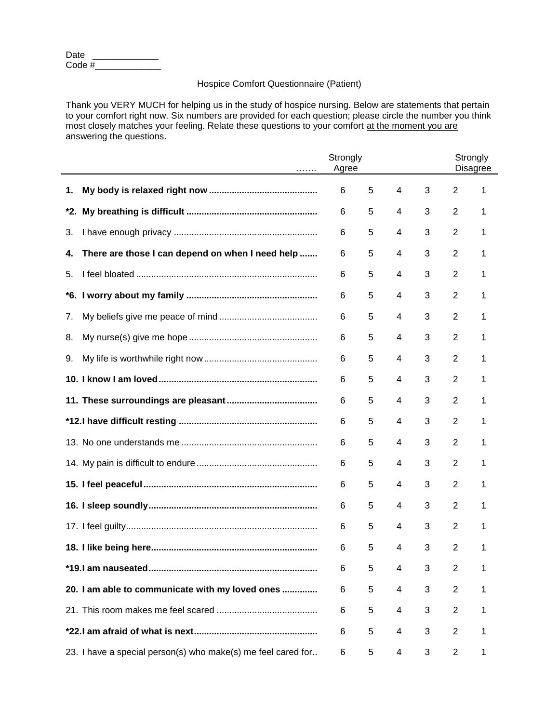| Date   |  |
|--------|--|
| Code # |  |

## Hospice Comfort Questionnaire (Patient)

Thank you VERY MUCH for helping us in the study of hospice nursing. Below are statements that pertain to your comfort right now. Six numbers are provided for each question; please circle the number you think most closely matches your feeling. Relate these questions to your comfort at the moment you are answering the questions.

| $\cdots \cdots$                                              | Strongly<br>Agree |   |   |   | Strongly       | <b>Disagree</b> |  |  |
|--------------------------------------------------------------|-------------------|---|---|---|----------------|-----------------|--|--|
| 1.                                                           | 6                 | 5 | 4 | 3 | 2              | 1               |  |  |
|                                                              | 6                 | 5 | 4 | 3 | 2              | 1               |  |  |
| 3.                                                           | 6                 | 5 | 4 | 3 | 2              | 1               |  |  |
| There are those I can depend on when I need help<br>4.       | 6                 | 5 | 4 | 3 | 2              | 1               |  |  |
| 5.                                                           | 6                 | 5 | 4 | 3 | 2              | 1               |  |  |
|                                                              | 6                 | 5 | 4 | 3 | 2              | 1               |  |  |
| 7.                                                           | 6                 | 5 | 4 | 3 | 2              | 1               |  |  |
| 8.                                                           | 6                 | 5 | 4 | 3 | 2              | 1               |  |  |
| 9.                                                           | 6                 | 5 | 4 | 3 | 2              | 1               |  |  |
|                                                              | 6                 | 5 | 4 | 3 | 2              | 1               |  |  |
|                                                              | 6                 | 5 | 4 | 3 | 2              | 1               |  |  |
|                                                              | 6                 | 5 | 4 | 3 | 2              | 1               |  |  |
|                                                              | 6                 | 5 | 4 | 3 | 2              | 1               |  |  |
|                                                              | 6                 | 5 | 4 | 3 | 2              | 1               |  |  |
|                                                              | 6                 | 5 | 4 | 3 | 2              | 1               |  |  |
|                                                              | 6                 | 5 | 4 | 3 | 2              | 1               |  |  |
|                                                              | 6                 | 5 | 4 | 3 | 2              | 1               |  |  |
|                                                              | 6                 | 5 | 4 | 3 | $\overline{2}$ | 1               |  |  |
|                                                              | 6                 | 5 | 4 | 3 | 2              | 1               |  |  |
| 20. I am able to communicate with my loved ones              | 6                 | 5 | 4 | 3 | $\overline{2}$ | 1               |  |  |
|                                                              | 6                 | 5 | 4 | 3 | 2              | 1               |  |  |
|                                                              | 6                 | 5 | 4 | 3 | $\overline{2}$ | 1               |  |  |
| 23. I have a special person(s) who make(s) me feel cared for | 6                 | 5 | 4 | 3 | $\overline{c}$ | 1               |  |  |